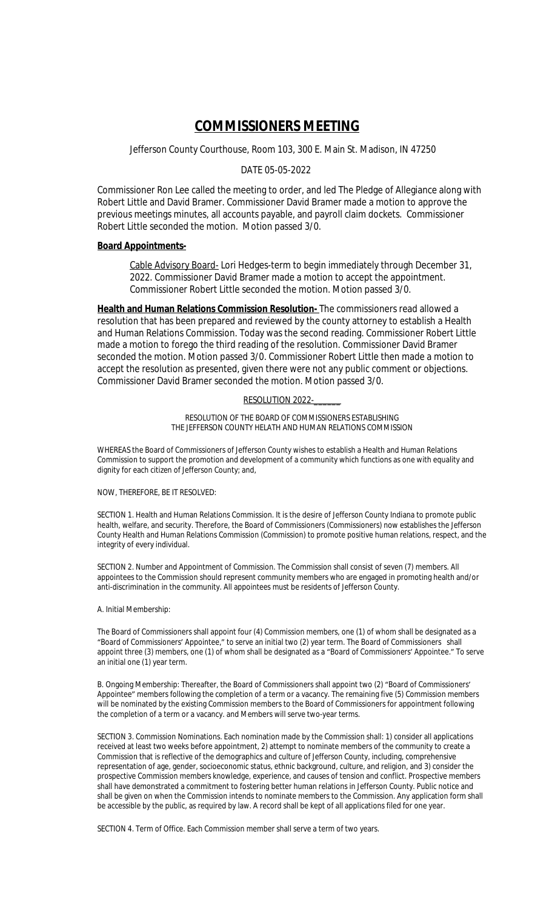# **COMMISSIONERS MEETING**

Jefferson County Courthouse, Room 103, 300 E. Main St. Madison, IN 47250

# DATE 05-05-2022

Commissioner Ron Lee called the meeting to order, and led The Pledge of Allegiance along with Robert Little and David Bramer. Commissioner David Bramer made a motion to approve the previous meetings minutes, all accounts payable, and payroll claim dockets. Commissioner Robert Little seconded the motion. Motion passed 3/0.

## **Board Appointments-**

Cable Advisory Board- Lori Hedges-term to begin immediately through December 31, 2022. Commissioner David Bramer made a motion to accept the appointment. Commissioner Robert Little seconded the motion. Motion passed 3/0.

**Health and Human Relations Commission Resolution-** The commissioners read allowed a resolution that has been prepared and reviewed by the county attorney to establish a Health and Human Relations Commission. Today was the second reading. Commissioner Robert Little made a motion to forego the third reading of the resolution. Commissioner David Bramer seconded the motion. Motion passed 3/0. Commissioner Robert Little then made a motion to accept the resolution as presented, given there were not any public comment or objections. Commissioner David Bramer seconded the motion. Motion passed 3/0.

#### RESOLUTION 2022-

RESOLUTION OF THE BOARD OF COMMISSIONERS ESTABLISHING THE JEFFERSON COUNTY HELATH AND HUMAN RELATIONS COMMISSION

WHEREAS the Board of Commissioners of Jefferson County wishes to establish a Health and Human Relations Commission to support the promotion and development of a community which functions as one with equality and dignity for each citizen of Jefferson County; and,

## NOW, THEREFORE, BE IT RESOLVED:

SECTION 1. Health and Human Relations Commission. It is the desire of Jefferson County Indiana to promote public health, welfare, and security. Therefore, the Board of Commissioners (Commissioners) now establishes the Jefferson County Health and Human Relations Commission (Commission) to promote positive human relations, respect, and the integrity of every individual.

SECTION 2. Number and Appointment of Commission. The Commission shall consist of seven (7) members. All appointees to the Commission should represent community members who are engaged in promoting health and/or anti-discrimination in the community. All appointees must be residents of Jefferson County.

# A. Initial Membership:

The Board of Commissioners shall appoint four (4) Commission members, one (1) of whom shall be designated as a "Board of Commissioners' Appointee," to serve an initial two (2) year term. The Board of Commissioners shall appoint three (3) members, one (1) of whom shall be designated as a "Board of Commissioners' Appointee." To serve an initial one (1) year term.

B. Ongoing Membership: Thereafter, the Board of Commissioners shall appoint two (2) "Board of Commissioners' Appointee" members following the completion of a term or a vacancy. The remaining five (5) Commission members will be nominated by the existing Commission members to the Board of Commissioners for appointment following the completion of a term or a vacancy. and Members will serve two-year terms.

SECTION 3. Commission Nominations. Each nomination made by the Commission shall: 1) consider all applications received at least two weeks before appointment, 2) attempt to nominate members of the community to create a Commission that is reflective of the demographics and culture of Jefferson County, including, comprehensive representation of age, gender, socioeconomic status, ethnic background, culture, and religion, and 3) consider the prospective Commission members knowledge, experience, and causes of tension and conflict. Prospective members shall have demonstrated a commitment to fostering better human relations in Jefferson County. Public notice and shall be given on when the Commission intends to nominate members to the Commission. Any application form shall be accessible by the public, as required by law. A record shall be kept of all applications filed for one year.

SECTION 4. Term of Office. Each Commission member shall serve a term of two years.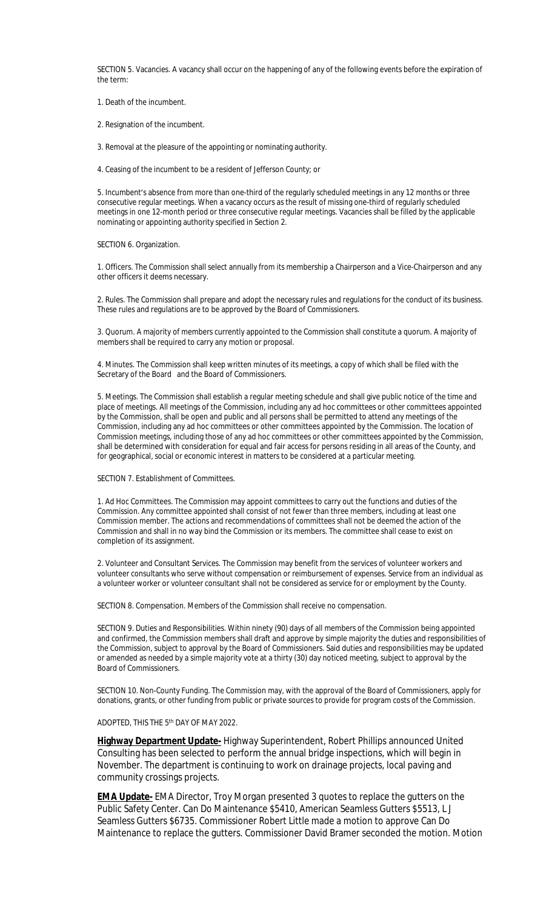SECTION 5. Vacancies. A vacancy shall occur on the happening of any of the following events before the expiration of the term:

1. Death of the incumbent.

2. Resignation of the incumbent.

3. Removal at the pleasure of the appointing or nominating authority.

4. Ceasing of the incumbent to be a resident of Jefferson County; or

5. Incumbent's absence from more than one-third of the regularly scheduled meetings in any 12 months or three consecutive regular meetings. When a vacancy occurs as the result of missing one-third of regularly scheduled meetings in one 12-month period or three consecutive regular meetings. Vacancies shall be filled by the applicable nominating or appointing authority specified in Section 2.

SECTION 6. Organization.

1. Officers. The Commission shall select annually from its membership a Chairperson and a Vice-Chairperson and any other officers it deems necessary.

2. Rules. The Commission shall prepare and adopt the necessary rules and regulations for the conduct of its business. These rules and regulations are to be approved by the Board of Commissioners.

3. Quorum. A majority of members currently appointed to the Commission shall constitute a quorum. A majority of members shall be required to carry any motion or proposal.

4. Minutes. The Commission shall keep written minutes of its meetings, a copy of which shall be filed with the Secretary of the Board and the Board of Commissioners.

5. Meetings. The Commission shall establish a regular meeting schedule and shall give public notice of the time and place of meetings. All meetings of the Commission, including any ad hoc committees or other committees appointed by the Commission, shall be open and public and all persons shall be permitted to attend any meetings of the Commission, including any ad hoc committees or other committees appointed by the Commission. The location of Commission meetings, including those of any ad hoc committees or other committees appointed by the Commission, shall be determined with consideration for equal and fair access for persons residing in all areas of the County, and for geographical, social or economic interest in matters to be considered at a particular meeting.

SECTION 7. Establishment of Committees.

1. Ad Hoc Committees. The Commission may appoint committees to carry out the functions and duties of the Commission. Any committee appointed shall consist of not fewer than three members, including at least one Commission member. The actions and recommendations of committees shall not be deemed the action of the Commission and shall in no way bind the Commission or its members. The committee shall cease to exist on completion of its assignment.

2. Volunteer and Consultant Services. The Commission may benefit from the services of volunteer workers and volunteer consultants who serve without compensation or reimbursement of expenses. Service from an individual as a volunteer worker or volunteer consultant shall not be considered as service for or employment by the County.

SECTION 8. Compensation. Members of the Commission shall receive no compensation.

SECTION 9. Duties and Responsibilities. Within ninety (90) days of all members of the Commission being appointed and confirmed, the Commission members shall draft and approve by simple majority the duties and responsibilities of the Commission, subject to approval by the Board of Commissioners. Said duties and responsibilities may be updated or amended as needed by a simple majority vote at a thirty (30) day noticed meeting, subject to approval by the Board of Commissioners.

SECTION 10. Non-County Funding. The Commission may, with the approval of the Board of Commissioners, apply for donations, grants, or other funding from public or private sources to provide for program costs of the Commission.

ADOPTED, THIS THE 5th DAY OF MAY 2022.

**Highway Department Update-** Highway Superintendent, Robert Phillips announced United Consulting has been selected to perform the annual bridge inspections, which will begin in November. The department is continuing to work on drainage projects, local paving and community crossings projects.

**EMA Update-** EMA Director, Troy Morgan presented 3 quotes to replace the gutters on the Public Safety Center. Can Do Maintenance \$5410, American Seamless Gutters \$5513, L J Seamless Gutters \$6735. Commissioner Robert Little made a motion to approve Can Do Maintenance to replace the gutters. Commissioner David Bramer seconded the motion. Motion